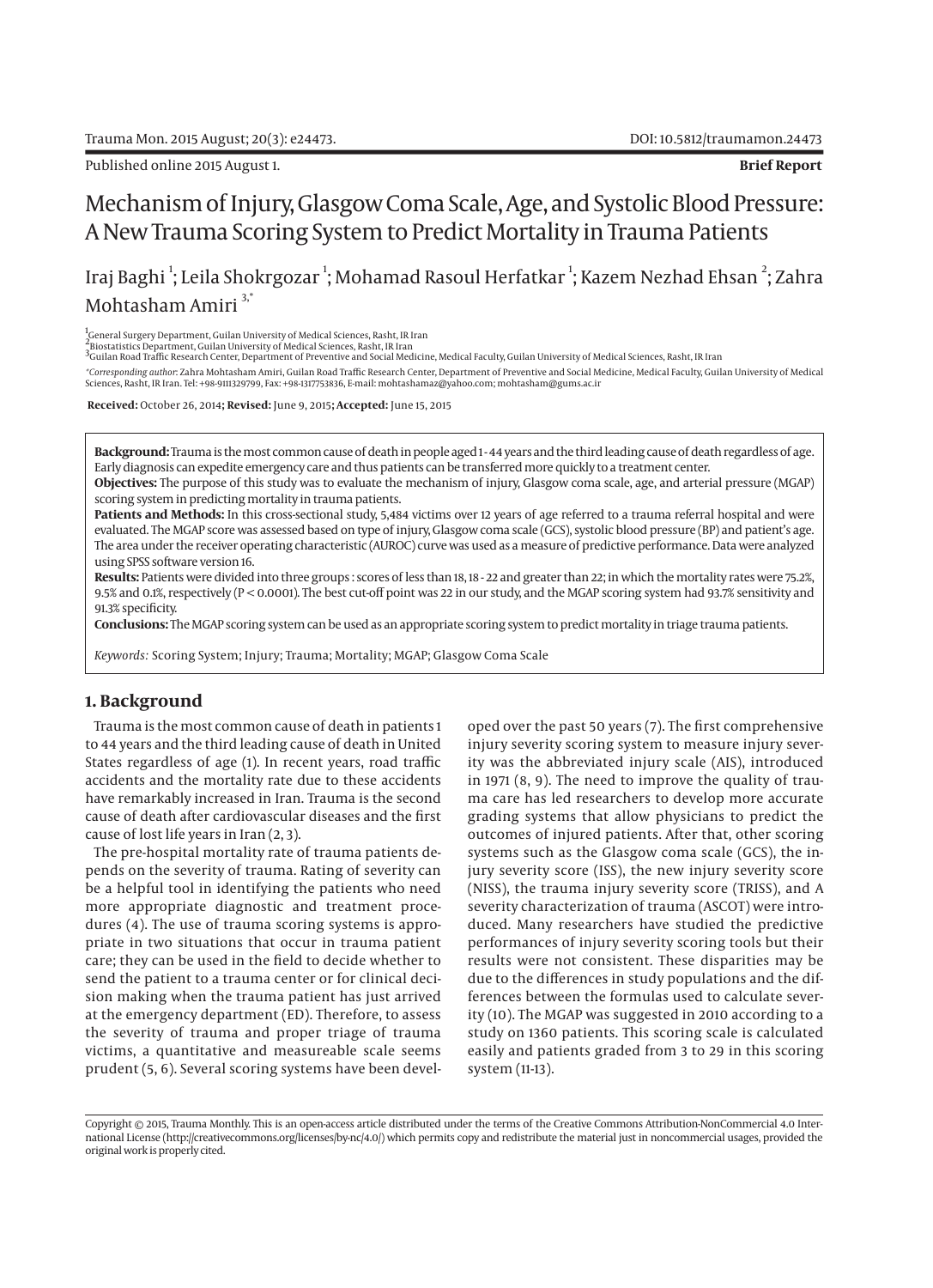Published online 2015 August 1. **Brief Report**

# Mechanism of Injury, Glasgow Coma Scale, Age, and Systolic Blood Pressure: A New Trauma Scoring System to Predict Mortality in Trauma Patients

Iraj Baghi  $^{\rm l}$ ; Leila Shokrgozar  $^{\rm l}$ ; Mohamad Rasoul Herfatkar  $^{\rm l}$ ; Kazem Nezhad Ehsan  $^{\rm 2}$ ; Zahra Mohtasham Amiri 3,\*

<sup>1</sup>General Surgery Department, Guilan University of Medical Sciences, Rasht, IR Iran

'General Surgery Department, Guilan University of Medical Sciences, Rasht, IR Iran<br><sup>2</sup>Biostatistics Department, Guilan University of Medical Sciences, Rasht, IR Iran<br><sup>3</sup>Guilan Road Traffic Research Center, Department of Pr

\*Corresponding author: Zahra Mohtasham Amiri, Guilan Road Traffic Research Center, Department of Preventive and Social Medicine, Medical Faculty, Guilan University of Medical<br>Sciences, Rasht, IR Iran. Tel: +98-9111329799,

 **Received:** October 26, 2014**; Revised:** June 9, 2015**; Accepted:** June 15, 2015

**Background:** Trauma is the most common cause of death in people aged 1 - 44 years and the third leading cause of death regardless of age. Early diagnosis can expedite emergency care and thus patients can be transferred more quickly to a treatment center.

**Objectives:** The purpose of this study was to evaluate the mechanism of injury, Glasgow coma scale, age, and arterial pressure (MGAP) scoring system in predicting mortality in trauma patients.

Patients and Methods: In this cross-sectional study, 5,484 victims over 12 years of age referred to a trauma referral hospital and were evaluated. The MGAP score was assessed based on type of injury, Glasgow coma scale (GCS), systolic blood pressure (BP) and patient's age. The area under the receiver operating characteristic (AUROC) curve was used as a measure of predictive performance. Data were analyzed using SPSS software version 16.

**Results:** Patients were divided into three groups : scores of less than 18, 18 - 22 and greater than 22; in which the mortality rates were 75.2%, 9.5% and 0.1%, respectively (P < 0.0001). The best cut-off point was 22 in our study, and the MGAP scoring system had 93.7% sensitivity and 91.3% specificity.

**Conclusions:** The MGAP scoring system can be used as an appropriate scoring system to predict mortality in triage trauma patients.

*Keywords:* Scoring System; Injury; Trauma; Mortality; MGAP; Glasgow Coma Scale

## **1. Background**

Trauma is the most common cause of death in patients 1 to 44 years and the third leading cause of death in United States regardless of age (1). In recent years, road traffic accidents and the mortality rate due to these accidents have remarkably increased in Iran. Trauma is the second cause of death after cardiovascular diseases and the first cause of lost life years in Iran (2, 3).

The pre-hospital mortality rate of trauma patients depends on the severity of trauma. Rating of severity can be a helpful tool in identifying the patients who need more appropriate diagnostic and treatment procedures (4). The use of trauma scoring systems is appropriate in two situations that occur in trauma patient care; they can be used in the field to decide whether to send the patient to a trauma center or for clinical decision making when the trauma patient has just arrived at the emergency department (ED). Therefore, to assess the severity of trauma and proper triage of trauma victims, a quantitative and measureable scale seems prudent (5, 6). Several scoring systems have been developed over the past 50 years (7). The first comprehensive injury severity scoring system to measure injury severity was the abbreviated injury scale (AIS), introduced in 1971 (8, 9). The need to improve the quality of trauma care has led researchers to develop more accurate grading systems that allow physicians to predict the outcomes of injured patients. After that, other scoring systems such as the Glasgow coma scale (GCS), the injury severity score (ISS), the new injury severity score (NISS), the trauma injury severity score (TRISS), and A severity characterization of trauma (ASCOT) were introduced. Many researchers have studied the predictive performances of injury severity scoring tools but their results were not consistent. These disparities may be due to the differences in study populations and the differences between the formulas used to calculate severity (10). The MGAP was suggested in 2010 according to a study on 1360 patients. This scoring scale is calculated easily and patients graded from 3 to 29 in this scoring system (11-13).

Copyright © 2015, Trauma Monthly. This is an open-access article distributed under the terms of the Creative Commons Attribution-NonCommercial 4.0 International License (http://creativecommons.org/licenses/by-nc/4.0/) which permits copy and redistribute the material just in noncommercial usages, provided the original work is properly cited.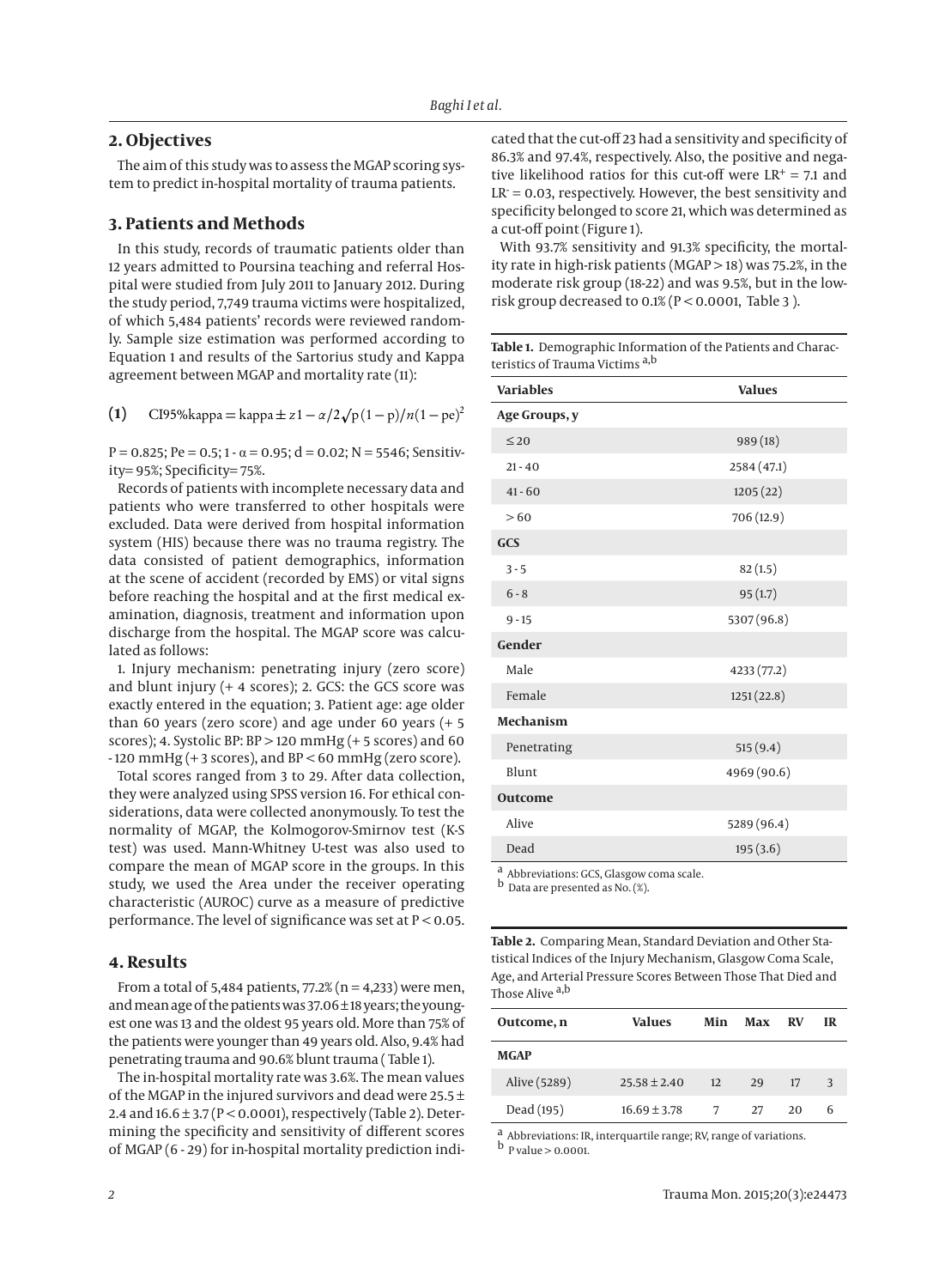## **2. Objectives**

The aim of this study was to assess the MGAP scoring system to predict in-hospital mortality of trauma patients.

# **3. Patients and Methods**

In this study, records of traumatic patients older than 12 years admitted to Poursina teaching and referral Hospital were studied from July 2011 to January 2012. During the study period, 7,749 trauma victims were hospitalized, of which 5,484 patients' records were reviewed randomly. Sample size estimation was performed according to Equation 1 and results of the Sartorius study and Kappa agreement between MGAP and mortality rate (11):

**(1)** CI95%kappa = kappa ± *z* 1 − *α*/2 $\sqrt{p(1-p)/n(1-pe)^2}$ 

P = 0.825; Pe = 0.5; 1 -  $\alpha$  = 0.95; d = 0.02; N = 5546; Sensitivity= 95%; Specificity= 75%.

Records of patients with incomplete necessary data and patients who were transferred to other hospitals were excluded. Data were derived from hospital information system (HIS) because there was no trauma registry. The data consisted of patient demographics, information at the scene of accident (recorded by EMS) or vital signs before reaching the hospital and at the first medical examination, diagnosis, treatment and information upon discharge from the hospital. The MGAP score was calculated as follows:

1. Injury mechanism: penetrating injury (zero score) and blunt injury (+ 4 scores); 2. GCS: the GCS score was exactly entered in the equation; 3. Patient age: age older than 60 years (zero score) and age under 60 years (+ 5 scores); 4. Systolic BP: BP > 120 mmHg (+ 5 scores) and 60 - 120 mmHg (+ 3 scores), and BP < 60 mmHg (zero score).

Total scores ranged from 3 to 29. After data collection, they were analyzed using SPSS version 16. For ethical considerations, data were collected anonymously. To test the normality of MGAP, the Kolmogorov-Smirnov test (K-S test) was used. Mann-Whitney U-test was also used to compare the mean of MGAP score in the groups. In this study, we used the Area under the receiver operating characteristic (AUROC) curve as a measure of predictive performance. The level of significance was set at P < 0.05.

#### **4. Results**

From a total of 5,484 patients,  $77.2\%$  (n = 4,233) were men, and mean age of the patients was 37.06 ± 18 years; the youngest one was 13 and the oldest 95 years old. More than 75% of the patients were younger than 49 years old. Also, 9.4% had penetrating trauma and 90.6% blunt trauma ( Table 1).

The in-hospital mortality rate was 3.6%. The mean values of the MGAP in the injured survivors and dead were 25.5 ± 2.4 and 16.6 ± 3.7 (P < 0.0001), respectively (Table 2). Determining the specificity and sensitivity of different scores of MGAP (6 - 29) for in-hospital mortality prediction indicated that the cut-off 23 had a sensitivity and specificity of 86.3% and 97.4%, respectively. Also, the positive and negative likelihood ratios for this cut-off were  $LR<sup>+</sup> = 7.1$  and LR = 0.03, respectively. However, the best sensitivity and specificity belonged to score 21, which was determined as a cut-off point (Figure 1).

With 93.7% sensitivity and 91.3% specificity, the mortality rate in high-risk patients (MGAP > 18) was 75.2%, in the moderate risk group (18-22) and was 9.5%, but in the lowrisk group decreased to  $0.1\%$  (P < 0.0001, Table 3).

| Table 1. Demographic Information of the Patients and Charac- |  |
|--------------------------------------------------------------|--|
| teristics of Trauma Victims <sup>a,b</sup>                   |  |

| <b>Variables</b> | <b>Values</b> |  |  |
|------------------|---------------|--|--|
| Age Groups, y    |               |  |  |
| $\leq 20$        | 989 (18)      |  |  |
| $21 - 40$        | 2584 (47.1)   |  |  |
| $41 - 60$        | 1205(22)      |  |  |
| >60              | 706 (12.9)    |  |  |
| GCS              |               |  |  |
| $3 - 5$          | 82(1.5)       |  |  |
| $6 - 8$          | 95(1.7)       |  |  |
| $9 - 15$         | 5307 (96.8)   |  |  |
| Gender           |               |  |  |
| Male             | 4233 (77.2)   |  |  |
| Female           | 1251(22.8)    |  |  |
| <b>Mechanism</b> |               |  |  |
| Penetrating      | 515(9.4)      |  |  |
| Blunt            | 4969 (90.6)   |  |  |
| <b>Outcome</b>   |               |  |  |
| Alive            | 5289 (96.4)   |  |  |
| Dead             | 195(3.6)      |  |  |

a Abbreviations: GCS, Glasgow coma scale.

b Data are presented as No. (%).

**Table 2.** Comparing Mean, Standard Deviation and Other Statistical Indices of the Injury Mechanism, Glasgow Coma Scale, Age, and Arterial Pressure Scores Between Those That Died and Those Alive <sup>a,b</sup>

| Outcome, n   | Values           | Min | Max | <b>RV</b> | <b>IR</b> |
|--------------|------------------|-----|-----|-----------|-----------|
| <b>MGAP</b>  |                  |     |     |           |           |
| Alive (5289) | $25.58 \pm 2.40$ | 12  | 29  | 17        | 3         |
| Dead (195)   | $16.69 \pm 3.78$ |     | 27  | 20        | 6         |

a Abbreviations: IR, interquartile range; RV, range of variations.  $b$  P value > 0.0001.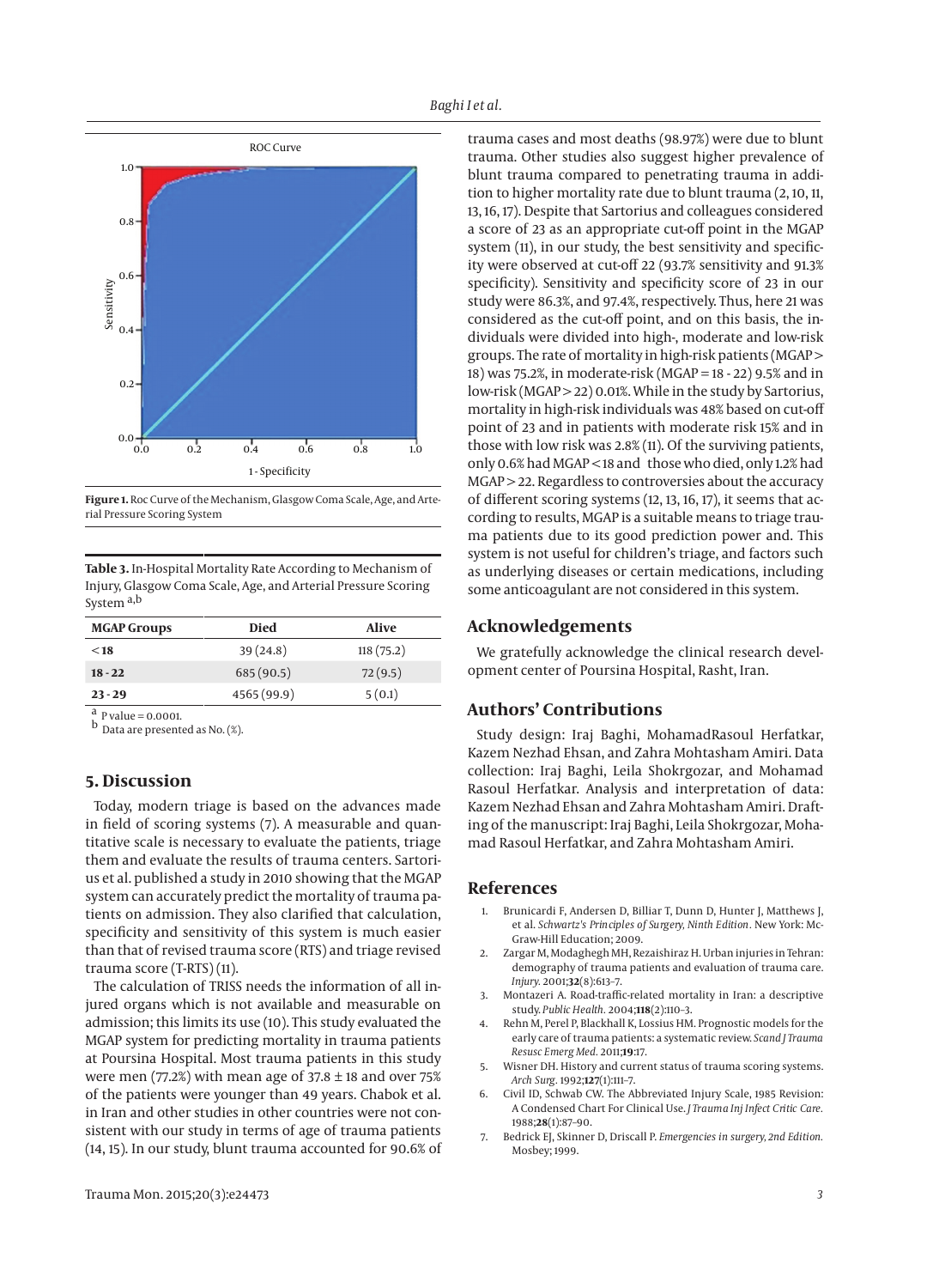

**Figure 1.** Roc Curve of the Mechanism, Glasgow Coma Scale, Age, and Arterial Pressure Scoring System

**Table 3.** In-Hospital Mortality Rate According to Mechanism of Injury, Glasgow Coma Scale, Age, and Arterial Pressure Scoring System a,b

| <b>MGAP Groups</b> | Died        | Alive     |
|--------------------|-------------|-----------|
| $<$ 18             | 39(24.8)    | 118(75.2) |
| $18 - 22$          | 685(90.5)   | 72(9.5)   |
| $23 - 29$          | 4565 (99.9) | 5(0.1)    |

 $a$  P value = 0.0001.

b Data are presented as No. (%).

## **5. Discussion**

Today, modern triage is based on the advances made in field of scoring systems (7). A measurable and quantitative scale is necessary to evaluate the patients, triage them and evaluate the results of trauma centers. Sartorius et al. published a study in 2010 showing that the MGAP system can accurately predict the mortality of trauma patients on admission. They also clarified that calculation, specificity and sensitivity of this system is much easier than that of revised trauma score (RTS) and triage revised trauma score (T-RTS) (11).

The calculation of TRISS needs the information of all injured organs which is not available and measurable on admission; this limits its use (10). This study evaluated the MGAP system for predicting mortality in trauma patients at Poursina Hospital. Most trauma patients in this study were men (77.2%) with mean age of  $37.8 \pm 18$  and over 75% of the patients were younger than 49 years. Chabok et al. in Iran and other studies in other countries were not consistent with our study in terms of age of trauma patients (14, 15). In our study, blunt trauma accounted for 90.6% of trauma cases and most deaths (98.97%) were due to blunt trauma. Other studies also suggest higher prevalence of blunt trauma compared to penetrating trauma in addition to higher mortality rate due to blunt trauma (2, 10, 11, 13, 16, 17). Despite that Sartorius and colleagues considered a score of 23 as an appropriate cut-off point in the MGAP system (11), in our study, the best sensitivity and specificity were observed at cut-off 22 (93.7% sensitivity and 91.3% specificity). Sensitivity and specificity score of 23 in our study were 86.3%, and 97.4%, respectively. Thus, here 21 was considered as the cut-off point, and on this basis, the individuals were divided into high-, moderate and low-risk groups. The rate of mortality in high-risk patients (MGAP > 18) was 75.2%, in moderate-risk (MGAP = 18 - 22) 9.5% and in low-risk (MGAP > 22) 0.01%. While in the study by Sartorius, mortality in high-risk individuals was 48% based on cut-off point of 23 and in patients with moderate risk 15% and in those with low risk was 2.8% (11). Of the surviving patients, only 0.6% had MGAP < 18 and those who died, only 1.2% had MGAP > 22. Regardless to controversies about the accuracy of different scoring systems (12, 13, 16, 17), it seems that according to results, MGAP is a suitable means to triage trauma patients due to its good prediction power and. This system is not useful for children's triage, and factors such as underlying diseases or certain medications, including some anticoagulant are not considered in this system.

## **Acknowledgements**

We gratefully acknowledge the clinical research development center of Poursina Hospital, Rasht, Iran.

# **Authors' Contributions**

Study design: Iraj Baghi, MohamadRasoul Herfatkar, Kazem Nezhad Ehsan, and Zahra Mohtasham Amiri. Data collection: Iraj Baghi, Leila Shokrgozar, and Mohamad Rasoul Herfatkar. Analysis and interpretation of data: Kazem Nezhad Ehsan and Zahra Mohtasham Amiri. Drafting of the manuscript: Iraj Baghi, Leila Shokrgozar, Mohamad Rasoul Herfatkar, and Zahra Mohtasham Amiri.

# **References**

- Brunicardi F, Andersen D, Billiar T, Dunn D, Hunter J, Matthews J, et al. *Schwartz's Principles of Surgery, Ninth Edition.* New York: Mc-Graw-Hill Education; 2009.
- 2. Zargar M, Modaghegh MH, Rezaishiraz H. Urban injuries in Tehran: demography of trauma patients and evaluation of trauma care. *Injury.* 2001;**32**(8):613–7.
- 3. Montazeri A. Road-traffic-related mortality in Iran: a descriptive study. *Public Health.* 2004;**118**(2):110–3.
- 4. Rehn M, Perel P, Blackhall K, Lossius HM. Prognostic models for the early care of trauma patients: a systematic review. *Scand J Trauma Resusc Emerg Med.* 2011;**19**:17.
- 5. Wisner DH. History and current status of trauma scoring systems. *Arch Surg.* 1992;**127**(1):111–7.
- 6. Civil ID, Schwab CW. The Abbreviated Injury Scale, 1985 Revision: A Condensed Chart For Clinical Use. *J Trauma Inj Infect Critic Care.* 1988;**28**(1):87–90.
- 7. Bedrick EJ, Skinner D, Driscall P. *Emergencies in surgery, 2nd Edition.* Mosbey; 1999.